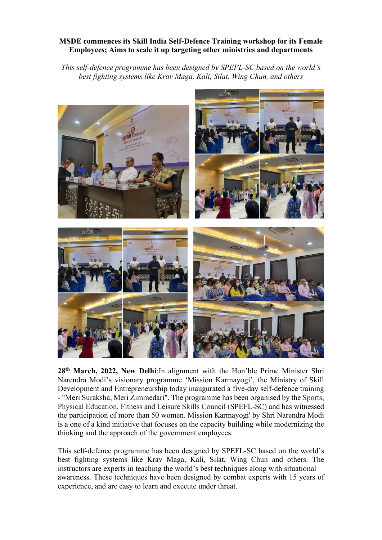## MSDE commences its Skill India Self-Defence Training workshop for its Female Employees; Aims to scale it up targeting other ministries and departments

This self-defence programme has been designed by SPEFL-SC based on the world's best fighting systems like Krav Maga, Kali, Silat, Wing Chun, and others



28th March, 2022, New Delhi:In alignment with the Hon'ble Prime Minister Shri Narendra Modi's visionary programme 'Mission Karmayogi', the Ministry of Skill Development and Entrepreneurship today inaugurated a five-day self-defence training - "Meri Suraksha, Meri Zimmedari". The programme has been organised by the Sports, Physical Education, Fitness and Leisure Skills Council (SPEFL-SC) and has witnessed the participation of more than 50 women. Mission Karmayogi' by Shri Narendra Modi is a one of a kind initiative that focuses on the capacity building while modernizing the thinking and the approach of the government employees.

This self-defence programme has been designed by SPEFL-SC based on the world's best fighting systems like Krav Maga, Kali, Silat, Wing Chun and others. The instructors are experts in teaching the world's best techniques along with situational awareness. These techniques have been designed by combat experts with 15 years of experience, and are easy to learn and execute under threat.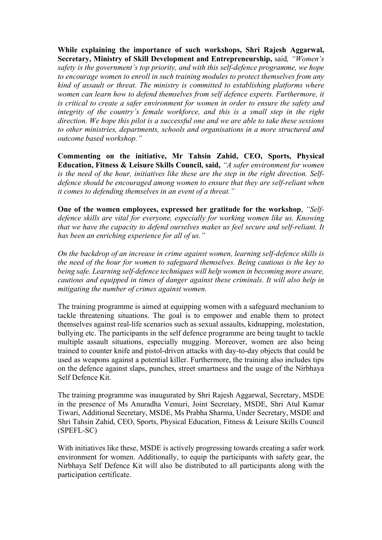While explaining the importance of such workshops, Shri Rajesh Aggarwal, Secretary, Ministry of Skill Development and Entrepreneurship, said, "Women's safety is the government's top priority, and with this self-defence programme, we hope to encourage women to enroll in such training modules to protect themselves from any kind of assault or threat. The ministry is committed to establishing platforms where women can learn how to defend themselves from self defence experts. Furthermore, it is critical to create a safer environment for women in order to ensure the safety and integrity of the country's female workforce, and this is a small step in the right direction. We hope this pilot is a successful one and we are able to take these sessions to other ministries, departments, schools and organisations in a more structured and outcome based workshop."

Commenting on the initiative, Mr Tahsin Zahid, CEO, Sports, Physical Education, Fitness & Leisure Skills Council, said, "A safer environment for women is the need of the hour, initiatives like these are the step in the right direction. Selfdefence should be encouraged among women to ensure that they are self-reliant when it comes to defending themselves in an event of a threat."

One of the women employees, expressed her gratitude for the workshop, "Selfdefence skills are vital for everyone, especially for working women like us. Knowing that we have the capacity to defend ourselves makes us feel secure and self-reliant. It has been an enriching experience for all of us."

On the backdrop of an increase in crime against women, learning self-defence skills is the need of the hour for women to safeguard themselves. Being cautious is the key to being safe. Learning self-defence techniques will help women in becoming more aware, cautious and equipped in times of danger against these criminals. It will also help in mitigating the number of crimes against women.

The training programme is aimed at equipping women with a safeguard mechanism to tackle threatening situations. The goal is to empower and enable them to protect themselves against real-life scenarios such as sexual assaults, kidnapping, molestation, bullying etc. The participants in the self defence programme are being taught to tackle multiple assault situations, especially mugging. Moreover, women are also being trained to counter knife and pistol-driven attacks with day-to-day objects that could be used as weapons against a potential killer. Furthermore, the training also includes tips on the defence against slaps, punches, street smartness and the usage of the Nirbhaya Self Defence Kit.

The training programme was inaugurated by Shri Rajesh Aggarwal, Secretary, MSDE in the presence of Ms Anuradha Vemuri, Joint Secretary, MSDE, Shri Atul Kumar Tiwari, Additional Secretary, MSDE, Ms Prabha Sharma, Under Secretary, MSDE and Shri Tahsin Zahid, CEO, Sports, Physical Education, Fitness & Leisure Skills Council (SPEFL-SC)

With initiatives like these, MSDE is actively progressing towards creating a safer work environment for women. Additionally, to equip the participants with safety gear, the Nirbhaya Self Defence Kit will also be distributed to all participants along with the participation certificate.